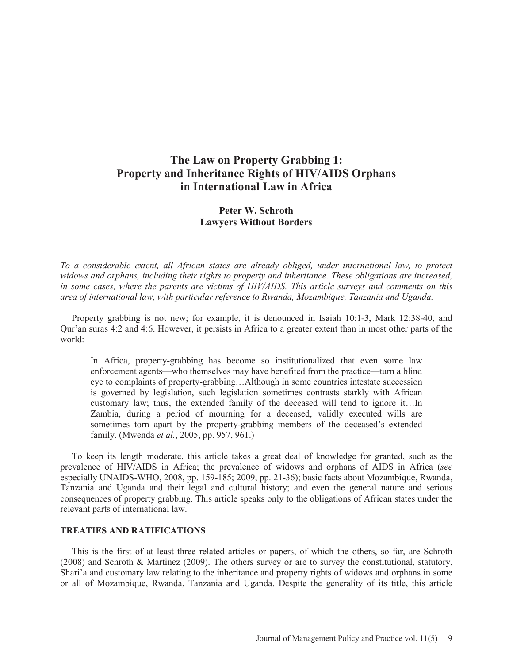## **The Law on Property Grabbing 1: Property and Inheritance Rights of HIV/AIDS Orphans in International Law in Africa**

## **Peter W. Schroth Lawyers Without Borders**

*To a considerable extent, all African states are already obliged, under international law, to protect widows and orphans, including their rights to property and inheritance. These obligations are increased, in some cases, where the parents are victims of HIV/AIDS. This article surveys and comments on this area of international law, with particular reference to Rwanda, Mozambique, Tanzania and Uganda.* 

 Property grabbing is not new; for example, it is denounced in Isaiah 10:1-3, Mark 12:38-40, and Qur'an suras 4:2 and 4:6. However, it persists in Africa to a greater extent than in most other parts of the world:

In Africa, property-grabbing has become so institutionalized that even some law enforcement agents—who themselves may have benefited from the practice—turn a blind eye to complaints of property-grabbing…Although in some countries intestate succession is governed by legislation, such legislation sometimes contrasts starkly with African customary law; thus, the extended family of the deceased will tend to ignore it…In Zambia, during a period of mourning for a deceased, validly executed wills are sometimes torn apart by the property-grabbing members of the deceased's extended family. (Mwenda *et al.*, 2005, pp. 957, 961.)

 To keep its length moderate, this article takes a great deal of knowledge for granted, such as the prevalence of HIV/AIDS in Africa; the prevalence of widows and orphans of AIDS in Africa (*see*  especially UNAIDS-WHO, 2008, pp. 159-185; 2009, pp. 21-36); basic facts about Mozambique, Rwanda, Tanzania and Uganda and their legal and cultural history; and even the general nature and serious consequences of property grabbing. This article speaks only to the obligations of African states under the relevant parts of international law.

## **TREATIES AND RATIFICATIONS**

 This is the first of at least three related articles or papers, of which the others, so far, are Schroth (2008) and Schroth & Martinez (2009). The others survey or are to survey the constitutional, statutory, Shari'a and customary law relating to the inheritance and property rights of widows and orphans in some or all of Mozambique, Rwanda, Tanzania and Uganda. Despite the generality of its title, this article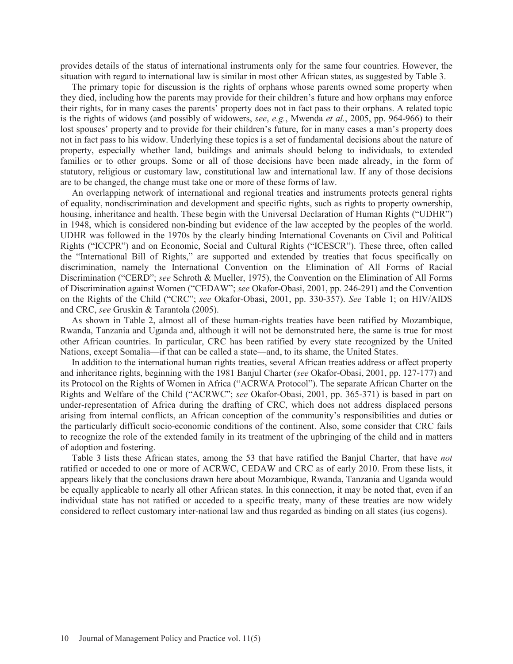provides details of the status of international instruments only for the same four countries. However, the situation with regard to international law is similar in most other African states, as suggested by Table 3.

 The primary topic for discussion is the rights of orphans whose parents owned some property when they died, including how the parents may provide for their children's future and how orphans may enforce their rights, for in many cases the parents' property does not in fact pass to their orphans. A related topic is the rights of widows (and possibly of widowers, *see*, *e.g.*, Mwenda *et al.*, 2005, pp. 964-966) to their lost spouses' property and to provide for their children's future, for in many cases a man's property does not in fact pass to his widow. Underlying these topics is a set of fundamental decisions about the nature of property, especially whether land, buildings and animals should belong to individuals, to extended families or to other groups. Some or all of those decisions have been made already, in the form of statutory, religious or customary law, constitutional law and international law. If any of those decisions are to be changed, the change must take one or more of these forms of law.

 An overlapping network of international and regional treaties and instruments protects general rights of equality, nondiscrimination and development and specific rights, such as rights to property ownership, housing, inheritance and health. These begin with the Universal Declaration of Human Rights ("UDHR") in 1948, which is considered non-binding but evidence of the law accepted by the peoples of the world. UDHR was followed in the 1970s by the clearly binding International Covenants on Civil and Political Rights ("ICCPR") and on Economic, Social and Cultural Rights ("ICESCR"). These three, often called the "International Bill of Rights," are supported and extended by treaties that focus specifically on discrimination, namely the International Convention on the Elimination of All Forms of Racial Discrimination ("CERD"; *see* Schroth & Mueller, 1975), the Convention on the Elimination of All Forms of Discrimination against Women ("CEDAW"; *see* Okafor-Obasi, 2001, pp. 246-291) and the Convention on the Rights of the Child ("CRC"; *see* Okafor-Obasi, 2001, pp. 330-357). *See* Table 1; on HIV/AIDS and CRC, *see* Gruskin & Tarantola (2005).

 As shown in Table 2, almost all of these human-rights treaties have been ratified by Mozambique, Rwanda, Tanzania and Uganda and, although it will not be demonstrated here, the same is true for most other African countries. In particular, CRC has been ratified by every state recognized by the United Nations, except Somalia—if that can be called a state—and, to its shame, the United States.

 In addition to the international human rights treaties, several African treaties address or affect property and inheritance rights, beginning with the 1981 Banjul Charter (*see* Okafor-Obasi, 2001, pp. 127-177) and its Protocol on the Rights of Women in Africa ("ACRWA Protocol"). The separate African Charter on the Rights and Welfare of the Child ("ACRWC"; *see* Okafor-Obasi, 2001, pp. 365-371) is based in part on under-representation of Africa during the drafting of CRC, which does not address displaced persons arising from internal conflicts, an African conception of the community's responsibilities and duties or the particularly difficult socio-economic conditions of the continent. Also, some consider that CRC fails to recognize the role of the extended family in its treatment of the upbringing of the child and in matters of adoption and fostering.

 Table 3 lists these African states, among the 53 that have ratified the Banjul Charter, that have *not* ratified or acceded to one or more of ACRWC, CEDAW and CRC as of early 2010. From these lists, it appears likely that the conclusions drawn here about Mozambique, Rwanda, Tanzania and Uganda would be equally applicable to nearly all other African states. In this connection, it may be noted that, even if an individual state has not ratified or acceded to a specific treaty, many of these treaties are now widely considered to reflect customary inter-national law and thus regarded as binding on all states (ius cogens).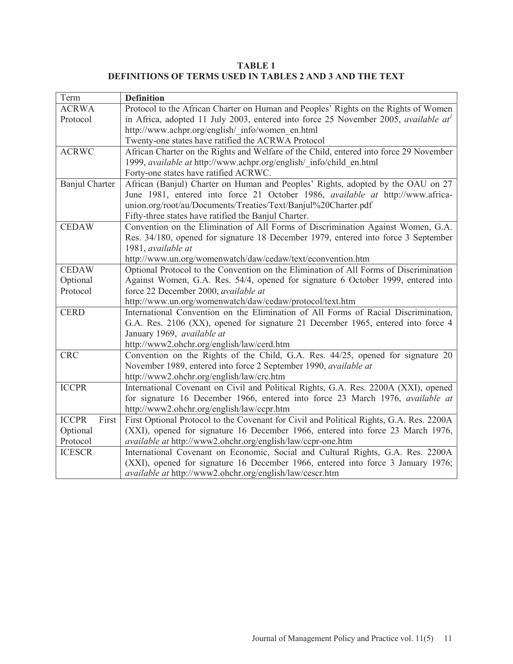**TABLE 1 DEFINITIONS OF TERMS USED IN TABLES 2 AND 3 AND THE TEXT**

| Term                  | <b>Definition</b>                                                                       |  |  |  |
|-----------------------|-----------------------------------------------------------------------------------------|--|--|--|
| <b>ACRWA</b>          | Protocol to the African Charter on Human and Peoples' Rights on the Rights of Women     |  |  |  |
| Protocol              | in Africa, adopted 11 July 2003, entered into force 25 November 2005, available $at'$   |  |  |  |
|                       | http://www.achpr.org/english/ info/women en.html                                        |  |  |  |
|                       | Twenty-one states have ratified the ACRWA Protocol                                      |  |  |  |
| <b>ACRWC</b>          | African Charter on the Rights and Welfare of the Child, entered into force 29 November  |  |  |  |
|                       | 1999, available at http://www.achpr.org/english/ info/child en.html                     |  |  |  |
|                       | Forty-one states have ratified ACRWC.                                                   |  |  |  |
| <b>Banjul Charter</b> | African (Banjul) Charter on Human and Peoples' Rights, adopted by the OAU on 27         |  |  |  |
|                       | June 1981, entered into force 21 October 1986, <i>available at</i> http://www.africa-   |  |  |  |
|                       | union.org/root/au/Documents/Treaties/Text/Banjul%20Charter.pdf                          |  |  |  |
|                       | Fifty-three states have ratified the Banjul Charter.                                    |  |  |  |
| <b>CEDAW</b>          | Convention on the Elimination of All Forms of Discrimination Against Women, G.A.        |  |  |  |
|                       | Res. 34/180, opened for signature 18 December 1979, entered into force 3 September      |  |  |  |
|                       | 1981, available at                                                                      |  |  |  |
|                       | http://www.un.org/womenwatch/daw/cedaw/text/econvention.htm                             |  |  |  |
| <b>CEDAW</b>          | Optional Protocol to the Convention on the Elimination of All Forms of Discrimination   |  |  |  |
| Optional              | Against Women, G.A. Res. 54/4, opened for signature 6 October 1999, entered into        |  |  |  |
| Protocol              | force 22 December 2000, available at                                                    |  |  |  |
|                       | http://www.un.org/womenwatch/daw/cedaw/protocol/text.htm                                |  |  |  |
| <b>CERD</b>           | International Convention on the Elimination of All Forms of Racial Discrimination,      |  |  |  |
|                       | G.A. Res. 2106 (XX), opened for signature 21 December 1965, entered into force 4        |  |  |  |
|                       | January 1969, available at                                                              |  |  |  |
|                       | http://www2.ohchr.org/english/law/cerd.htm                                              |  |  |  |
| <b>CRC</b>            | Convention on the Rights of the Child, G.A. Res. 44/25, opened for signature 20         |  |  |  |
|                       | November 1989, entered into force 2 September 1990, available at                        |  |  |  |
|                       | http://www2.ohchr.org/english/law/crc.htm                                               |  |  |  |
| <b>ICCPR</b>          | International Covenant on Civil and Political Rights, G.A. Res. 2200A (XXI), opened     |  |  |  |
|                       | for signature 16 December 1966, entered into force 23 March 1976, available at          |  |  |  |
|                       | http://www2.ohchr.org/english/law/ccpr.htm                                              |  |  |  |
| <b>ICCPR</b><br>First | First Optional Protocol to the Covenant for Civil and Political Rights, G.A. Res. 2200A |  |  |  |
| Optional              | (XXI), opened for signature 16 December 1966, entered into force 23 March 1976,         |  |  |  |
| Protocol              | available at http://www2.ohchr.org/english/law/ccpr-one.htm                             |  |  |  |
| <b>ICESCR</b>         | International Covenant on Economic, Social and Cultural Rights, G.A. Res. 2200A         |  |  |  |
|                       | (XXI), opened for signature 16 December 1966, entered into force 3 January 1976;        |  |  |  |
|                       | available at http://www2.ohchr.org/english/law/cescr.htm                                |  |  |  |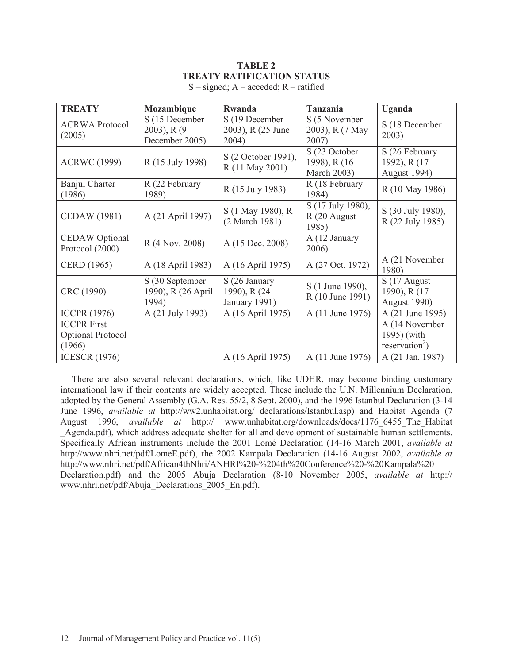# **TABLE 2 TREATY RATIFICATION STATUS**

| <b>TREATY</b>                                     | Mozambique                                          | Rwanda                                          | <b>Tanzania</b>                               | <b>Uganda</b>                                               |
|---------------------------------------------------|-----------------------------------------------------|-------------------------------------------------|-----------------------------------------------|-------------------------------------------------------------|
| <b>ACRWA Protocol</b><br>(2005)                   | S (15 December<br>$2003$ , R $(9$<br>December 2005) | S (19 December<br>2003), R (25 June<br>2004)    | S (5 November<br>2003), R (7 May<br>2007)     | S (18 December<br>2003)                                     |
| <b>ACRWC</b> (1999)                               | R (15 July 1998)                                    | S (2 October 1991),<br>R (11 May 2001)          | S (23 October<br>1998), R (16)<br>March 2003) | S (26 February<br>1992), R (17<br>August 1994)              |
| <b>Banjul Charter</b><br>(1986)                   | R (22 February<br>1989)                             | R (15 July 1983)                                | R (18 February<br>1984)                       | R (10 May 1986)                                             |
| <b>CEDAW</b> (1981)                               | A (21 April 1997)                                   | S (1 May 1980), R<br>(2 March 1981)             | S (17 July 1980),<br>R (20 August<br>1985)    | S (30 July 1980),<br>R (22 July 1985)                       |
| <b>CEDAW</b> Optional<br>Protocol (2000)          | R (4 Nov. 2008)                                     | A (15 Dec. 2008)                                | A (12 January<br>2006)                        |                                                             |
| CERD (1965)                                       | A (18 April 1983)                                   | A (16 April 1975)                               | A (27 Oct. 1972)                              | A (21 November<br>1980)                                     |
| CRC (1990)                                        | S (30 September<br>1990), R (26 April<br>1994)      | S (26 January<br>1990), R (24)<br>January 1991) | S (1 June 1990),<br>R (10 June 1991)          | S (17 August)<br>1990), R (17<br>August 1990)               |
| <b>ICCPR (1976)</b>                               | A (21 July 1993)                                    | A (16 April 1975)                               | A (11 June 1976)                              | A (21 June 1995)                                            |
| <b>ICCPR First</b><br>Optional Protocol<br>(1966) |                                                     |                                                 |                                               | A (14 November<br>1995) (with<br>reservation <sup>2</sup> ) |
| <b>ICESCR (1976)</b>                              |                                                     | A (16 April 1975)                               | A (11 June 1976)                              | A (21 Jan. 1987)                                            |

 $S$  – signed;  $A$  – acceded;  $R$  – ratified

 There are also several relevant declarations, which, like UDHR, may become binding customary international law if their contents are widely accepted. These include the U.N. Millennium Declaration, adopted by the General Assembly (G.A. Res. 55/2, 8 Sept. 2000), and the 1996 Istanbul Declaration (3-14 June 1996, *available at* http://ww2.unhabitat.org/ declarations/Istanbul.asp) and Habitat Agenda (7 August 1996, *available at* http:// www.unhabitat.org/downloads/docs/1176\_6455\_The\_Habitat Agenda.pdf), which address adequate shelter for all and development of sustainable human settlements. Specifically African instruments include the 2001 Lomé Declaration (14-16 March 2001, *available at* http://www.nhri.net/pdf/LomeE.pdf), the 2002 Kampala Declaration (14-16 August 2002, *available at* http://www.nhri.net/pdf/African4thNhri/ANHRI%20-%204th%20Conference%20-%20Kampala%20 Declaration.pdf) and the 2005 Abuja Declaration (8-10 November 2005, *available at* http:// www.nhri.net/pdf/Abuja\_Declarations\_2005\_En.pdf).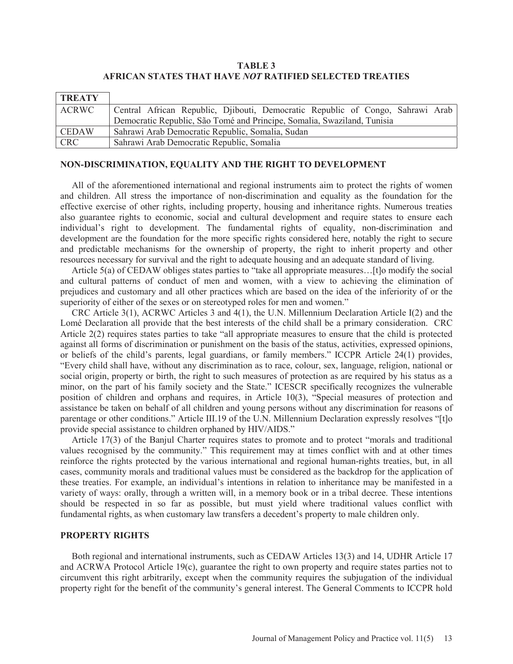## **TABLE 3 AFRICAN STATES THAT HAVE** *NOT* **RATIFIED SELECTED TREATIES**

| <b>TREATY</b> |                                                                                |
|---------------|--------------------------------------------------------------------------------|
| ACRWC         | Central African Republic, Djibouti, Democratic Republic of Congo, Sahrawi Arab |
|               | Democratic Republic, São Tomé and Principe, Somalia, Swaziland, Tunisia        |
| <b>CEDAW</b>  | Sahrawi Arab Democratic Republic, Somalia, Sudan                               |
| <b>CRC</b>    | Sahrawi Arab Democratic Republic, Somalia                                      |

#### **NON-DISCRIMINATION, EQUALITY AND THE RIGHT TO DEVELOPMENT**

 All of the aforementioned international and regional instruments aim to protect the rights of women and children. All stress the importance of non-discrimination and equality as the foundation for the effective exercise of other rights, including property, housing and inheritance rights. Numerous treaties also guarantee rights to economic, social and cultural development and require states to ensure each individual's right to development. The fundamental rights of equality, non-discrimination and development are the foundation for the more specific rights considered here, notably the right to secure and predictable mechanisms for the ownership of property, the right to inherit property and other resources necessary for survival and the right to adequate housing and an adequate standard of living.

 Article 5(a) of CEDAW obliges states parties to "take all appropriate measures…[t]o modify the social and cultural patterns of conduct of men and women, with a view to achieving the elimination of prejudices and customary and all other practices which are based on the idea of the inferiority of or the superiority of either of the sexes or on stereotyped roles for men and women."

 CRC Article 3(1), ACRWC Articles 3 and 4(1), the U.N. Millennium Declaration Article I(2) and the Lomé Declaration all provide that the best interests of the child shall be a primary consideration. CRC Article 2(2) requires states parties to take "all appropriate measures to ensure that the child is protected against all forms of discrimination or punishment on the basis of the status, activities, expressed opinions, or beliefs of the child's parents, legal guardians, or family members." ICCPR Article 24(1) provides, "Every child shall have, without any discrimination as to race, colour, sex, language, religion, national or social origin, property or birth, the right to such measures of protection as are required by his status as a minor, on the part of his family society and the State." ICESCR specifically recognizes the vulnerable position of children and orphans and requires, in Article 10(3), "Special measures of protection and assistance be taken on behalf of all children and young persons without any discrimination for reasons of parentage or other conditions." Article III.19 of the U.N. Millennium Declaration expressly resolves "[t]o provide special assistance to children orphaned by HIV/AIDS."

 Article 17(3) of the Banjul Charter requires states to promote and to protect "morals and traditional values recognised by the community." This requirement may at times conflict with and at other times reinforce the rights protected by the various international and regional human-rights treaties, but, in all cases, community morals and traditional values must be considered as the backdrop for the application of these treaties. For example, an individual's intentions in relation to inheritance may be manifested in a variety of ways: orally, through a written will, in a memory book or in a tribal decree. These intentions should be respected in so far as possible, but must yield where traditional values conflict with fundamental rights, as when customary law transfers a decedent's property to male children only.

## **PROPERTY RIGHTS**

 Both regional and international instruments, such as CEDAW Articles 13(3) and 14, UDHR Article 17 and ACRWA Protocol Article 19(c), guarantee the right to own property and require states parties not to circumvent this right arbitrarily, except when the community requires the subjugation of the individual property right for the benefit of the community's general interest. The General Comments to ICCPR hold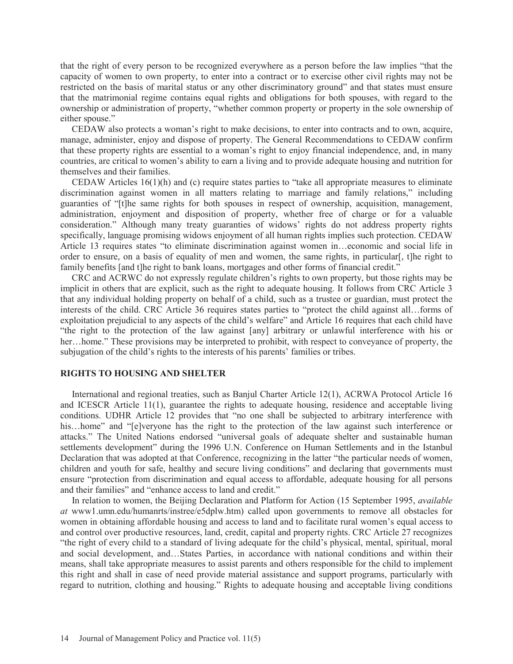that the right of every person to be recognized everywhere as a person before the law implies "that the capacity of women to own property, to enter into a contract or to exercise other civil rights may not be restricted on the basis of marital status or any other discriminatory ground" and that states must ensure that the matrimonial regime contains equal rights and obligations for both spouses, with regard to the ownership or administration of property, "whether common property or property in the sole ownership of either spouse."

 CEDAW also protects a woman's right to make decisions, to enter into contracts and to own, acquire, manage, administer, enjoy and dispose of property. The General Recommendations to CEDAW confirm that these property rights are essential to a woman's right to enjoy financial independence, and, in many countries, are critical to women's ability to earn a living and to provide adequate housing and nutrition for themselves and their families.

CEDAW Articles  $16(1)(h)$  and (c) require states parties to "take all appropriate measures to eliminate discrimination against women in all matters relating to marriage and family relations," including guaranties of "[t]he same rights for both spouses in respect of ownership, acquisition, management, administration, enjoyment and disposition of property, whether free of charge or for a valuable consideration." Although many treaty guaranties of widows' rights do not address property rights specifically, language promising widows enjoyment of all human rights implies such protection. CEDAW Article 13 requires states "to eliminate discrimination against women in…economic and social life in order to ensure, on a basis of equality of men and women, the same rights, in particular[, t]he right to family benefits [and t]he right to bank loans, mortgages and other forms of financial credit."

 CRC and ACRWC do not expressly regulate children's rights to own property, but those rights may be implicit in others that are explicit, such as the right to adequate housing. It follows from CRC Article 3 that any individual holding property on behalf of a child, such as a trustee or guardian, must protect the interests of the child. CRC Article 36 requires states parties to "protect the child against all…forms of exploitation prejudicial to any aspects of the child's welfare" and Article 16 requires that each child have "the right to the protection of the law against [any] arbitrary or unlawful interference with his or her…home." These provisions may be interpreted to prohibit, with respect to conveyance of property, the subjugation of the child's rights to the interests of his parents' families or tribes.

## **RIGHTS TO HOUSING AND SHELTER**

 International and regional treaties, such as Banjul Charter Article 12(1), ACRWA Protocol Article 16 and ICESCR Article 11(1), guarantee the rights to adequate housing, residence and acceptable living conditions. UDHR Article 12 provides that "no one shall be subjected to arbitrary interference with his…home" and "[e]veryone has the right to the protection of the law against such interference or attacks." The United Nations endorsed "universal goals of adequate shelter and sustainable human settlements development" during the 1996 U.N. Conference on Human Settlements and in the Istanbul Declaration that was adopted at that Conference, recognizing in the latter "the particular needs of women, children and youth for safe, healthy and secure living conditions" and declaring that governments must ensure "protection from discrimination and equal access to affordable, adequate housing for all persons and their families" and "enhance access to land and credit."

 In relation to women, the Beijing Declaration and Platform for Action (15 September 1995, *available at* www1.umn.edu/humanrts/instree/e5dplw.htm) called upon governments to remove all obstacles for women in obtaining affordable housing and access to land and to facilitate rural women's equal access to and control over productive resources, land, credit, capital and property rights. CRC Article 27 recognizes "the right of every child to a standard of living adequate for the child's physical, mental, spiritual, moral and social development, and…States Parties, in accordance with national conditions and within their means, shall take appropriate measures to assist parents and others responsible for the child to implement this right and shall in case of need provide material assistance and support programs, particularly with regard to nutrition, clothing and housing." Rights to adequate housing and acceptable living conditions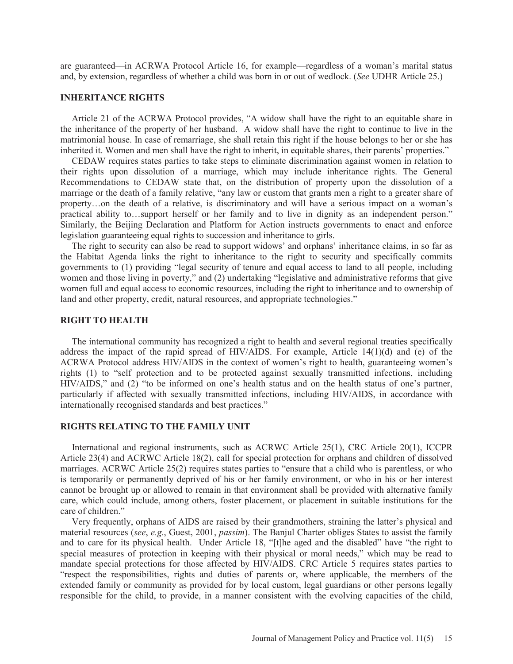are guaranteed—in ACRWA Protocol Article 16, for example—regardless of a woman's marital status and, by extension, regardless of whether a child was born in or out of wedlock. (*See* UDHR Article 25.)

#### **INHERITANCE RIGHTS**

 Article 21 of the ACRWA Protocol provides, "A widow shall have the right to an equitable share in the inheritance of the property of her husband. A widow shall have the right to continue to live in the matrimonial house. In case of remarriage, she shall retain this right if the house belongs to her or she has inherited it. Women and men shall have the right to inherit, in equitable shares, their parents' properties."

 CEDAW requires states parties to take steps to eliminate discrimination against women in relation to their rights upon dissolution of a marriage, which may include inheritance rights. The General Recommendations to CEDAW state that, on the distribution of property upon the dissolution of a marriage or the death of a family relative, "any law or custom that grants men a right to a greater share of property…on the death of a relative, is discriminatory and will have a serious impact on a woman's practical ability to…support herself or her family and to live in dignity as an independent person." Similarly, the Beijing Declaration and Platform for Action instructs governments to enact and enforce legislation guaranteeing equal rights to succession and inheritance to girls.

 The right to security can also be read to support widows' and orphans' inheritance claims, in so far as the Habitat Agenda links the right to inheritance to the right to security and specifically commits governments to (1) providing "legal security of tenure and equal access to land to all people, including women and those living in poverty," and (2) undertaking "legislative and administrative reforms that give women full and equal access to economic resources, including the right to inheritance and to ownership of land and other property, credit, natural resources, and appropriate technologies."

#### **RIGHT TO HEALTH**

 The international community has recognized a right to health and several regional treaties specifically address the impact of the rapid spread of HIV/AIDS. For example, Article 14(1)(d) and (e) of the ACRWA Protocol address HIV/AIDS in the context of women's right to health, guaranteeing women's rights (1) to "self protection and to be protected against sexually transmitted infections, including HIV/AIDS," and (2) "to be informed on one's health status and on the health status of one's partner, particularly if affected with sexually transmitted infections, including HIV/AIDS, in accordance with internationally recognised standards and best practices."

## **RIGHTS RELATING TO THE FAMILY UNIT**

 International and regional instruments, such as ACRWC Article 25(1), CRC Article 20(1), ICCPR Article 23(4) and ACRWC Article 18(2), call for special protection for orphans and children of dissolved marriages. ACRWC Article 25(2) requires states parties to "ensure that a child who is parentless, or who is temporarily or permanently deprived of his or her family environment, or who in his or her interest cannot be brought up or allowed to remain in that environment shall be provided with alternative family care, which could include, among others, foster placement, or placement in suitable institutions for the care of children."

 Very frequently, orphans of AIDS are raised by their grandmothers, straining the latter's physical and material resources (*see*, *e.g.*, Guest, 2001, *passim*). The Banjul Charter obliges States to assist the family and to care for its physical health. Under Article 18, "[t]he aged and the disabled" have "the right to special measures of protection in keeping with their physical or moral needs," which may be read to mandate special protections for those affected by HIV/AIDS. CRC Article 5 requires states parties to "respect the responsibilities, rights and duties of parents or, where applicable, the members of the extended family or community as provided for by local custom, legal guardians or other persons legally responsible for the child, to provide, in a manner consistent with the evolving capacities of the child,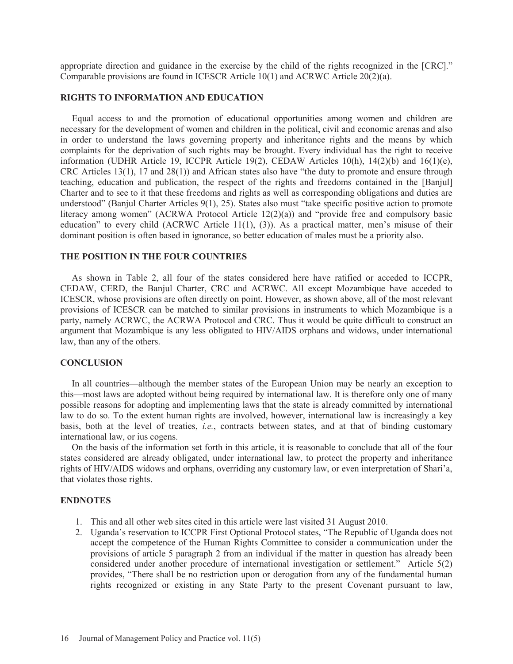appropriate direction and guidance in the exercise by the child of the rights recognized in the [CRC]." Comparable provisions are found in ICESCR Article 10(1) and ACRWC Article 20(2)(a).

## **RIGHTS TO INFORMATION AND EDUCATION**

 Equal access to and the promotion of educational opportunities among women and children are necessary for the development of women and children in the political, civil and economic arenas and also in order to understand the laws governing property and inheritance rights and the means by which complaints for the deprivation of such rights may be brought. Every individual has the right to receive information (UDHR Article 19, ICCPR Article 19(2), CEDAW Articles 10(h), 14(2)(b) and 16(1)(e), CRC Articles 13(1), 17 and 28(1)) and African states also have "the duty to promote and ensure through teaching, education and publication, the respect of the rights and freedoms contained in the [Banjul] Charter and to see to it that these freedoms and rights as well as corresponding obligations and duties are understood" (Banjul Charter Articles 9(1), 25). States also must "take specific positive action to promote literacy among women" (ACRWA Protocol Article 12(2)(a)) and "provide free and compulsory basic education" to every child (ACRWC Article 11(1), (3)). As a practical matter, men's misuse of their dominant position is often based in ignorance, so better education of males must be a priority also.

#### **THE POSITION IN THE FOUR COUNTRIES**

 As shown in Table 2, all four of the states considered here have ratified or acceded to ICCPR, CEDAW, CERD, the Banjul Charter, CRC and ACRWC. All except Mozambique have acceded to ICESCR, whose provisions are often directly on point. However, as shown above, all of the most relevant provisions of ICESCR can be matched to similar provisions in instruments to which Mozambique is a party, namely ACRWC, the ACRWA Protocol and CRC. Thus it would be quite difficult to construct an argument that Mozambique is any less obligated to HIV/AIDS orphans and widows, under international law, than any of the others.

#### **CONCLUSION**

 In all countries—although the member states of the European Union may be nearly an exception to this—most laws are adopted without being required by international law. It is therefore only one of many possible reasons for adopting and implementing laws that the state is already committed by international law to do so. To the extent human rights are involved, however, international law is increasingly a key basis, both at the level of treaties, *i.e.*, contracts between states, and at that of binding customary international law, or ius cogens.

 On the basis of the information set forth in this article, it is reasonable to conclude that all of the four states considered are already obligated, under international law, to protect the property and inheritance rights of HIV/AIDS widows and orphans, overriding any customary law, or even interpretation of Shari'a, that violates those rights.

#### **ENDNOTES**

- 1. This and all other web sites cited in this article were last visited 31 August 2010.
- 2. Uganda's reservation to ICCPR First Optional Protocol states, "The Republic of Uganda does not accept the competence of the Human Rights Committee to consider a communication under the provisions of article 5 paragraph 2 from an individual if the matter in question has already been considered under another procedure of international investigation or settlement." Article 5(2) provides, "There shall be no restriction upon or derogation from any of the fundamental human rights recognized or existing in any State Party to the present Covenant pursuant to law,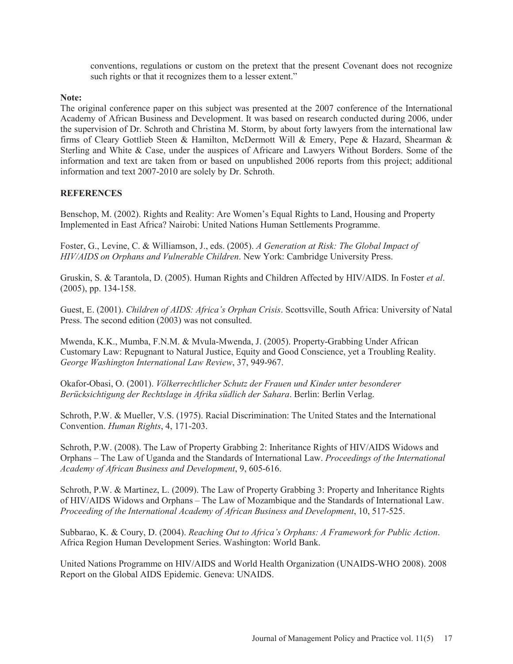conventions, regulations or custom on the pretext that the present Covenant does not recognize such rights or that it recognizes them to a lesser extent."

## **Note:**

The original conference paper on this subject was presented at the 2007 conference of the International Academy of African Business and Development. It was based on research conducted during 2006, under the supervision of Dr. Schroth and Christina M. Storm, by about forty lawyers from the international law firms of Cleary Gottlieb Steen & Hamilton, McDermott Will & Emery, Pepe & Hazard, Shearman & Sterling and White & Case, under the auspices of Africare and Lawyers Without Borders. Some of the information and text are taken from or based on unpublished 2006 reports from this project; additional information and text 2007-2010 are solely by Dr. Schroth.

## **REFERENCES**

Benschop, M. (2002). Rights and Reality: Are Women's Equal Rights to Land, Housing and Property Implemented in East Africa? Nairobi: United Nations Human Settlements Programme.

Foster, G., Levine, C. & Williamson, J., eds. (2005). *A Generation at Risk: The Global Impact of HIV/AIDS on Orphans and Vulnerable Children*. New York: Cambridge University Press.

Gruskin, S. & Tarantola, D. (2005). Human Rights and Children Affected by HIV/AIDS. In Foster *et al*. (2005), pp. 134-158.

Guest, E. (2001). *Children of AIDS: Africa's Orphan Crisis*. Scottsville, South Africa: University of Natal Press. The second edition (2003) was not consulted.

Mwenda, K.K., Mumba, F.N.M. & Mvula-Mwenda, J. (2005). Property-Grabbing Under African Customary Law: Repugnant to Natural Justice, Equity and Good Conscience, yet a Troubling Reality. *George Washington International Law Review*, 37, 949-967.

Okafor-Obasi, O. (2001). *Völkerrechtlicher Schutz der Frauen und Kinder unter besonderer Berücksichtigung der Rechtslage in Afrika südlich der Sahara*. Berlin: Berlin Verlag.

Schroth, P.W. & Mueller, V.S. (1975). Racial Discrimination: The United States and the International Convention. *Human Rights*, 4, 171-203.

Schroth, P.W. (2008). The Law of Property Grabbing 2: Inheritance Rights of HIV/AIDS Widows and Orphans – The Law of Uganda and the Standards of International Law. *Proceedings of the International Academy of African Business and Development*, 9, 605-616.

Schroth, P.W. & Martinez, L. (2009). The Law of Property Grabbing 3: Property and Inheritance Rights of HIV/AIDS Widows and Orphans – The Law of Mozambique and the Standards of International Law. *Proceeding of the International Academy of African Business and Development*, 10, 517-525.

Subbarao, K. & Coury, D. (2004). *Reaching Out to Africa's Orphans: A Framework for Public Action*. Africa Region Human Development Series. Washington: World Bank.

United Nations Programme on HIV/AIDS and World Health Organization (UNAIDS-WHO 2008). 2008 Report on the Global AIDS Epidemic. Geneva: UNAIDS.